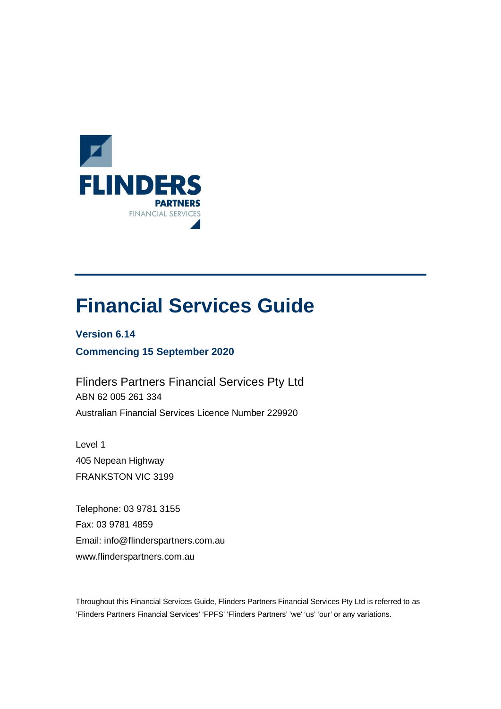

# **Financial Services Guide**

**Version 6.14 Commencing 15 September 2020**

Flinders Partners Financial Services Pty Ltd ABN 62 005 261 334 Australian Financial Services Licence Number 229920

Level 1 405 Nepean Highway FRANKSTON VIC 3199

Telephone: 03 9781 3155 Fax: 03 9781 4859 Email: info@flinderspartners.com.au www.flinderspartners.com.au

Throughout this Financial Services Guide, Flinders Partners Financial Services Pty Ltd is referred to as 'Flinders Partners Financial Services' 'FPFS' 'Flinders Partners' 'we' 'us' 'our' or any variations.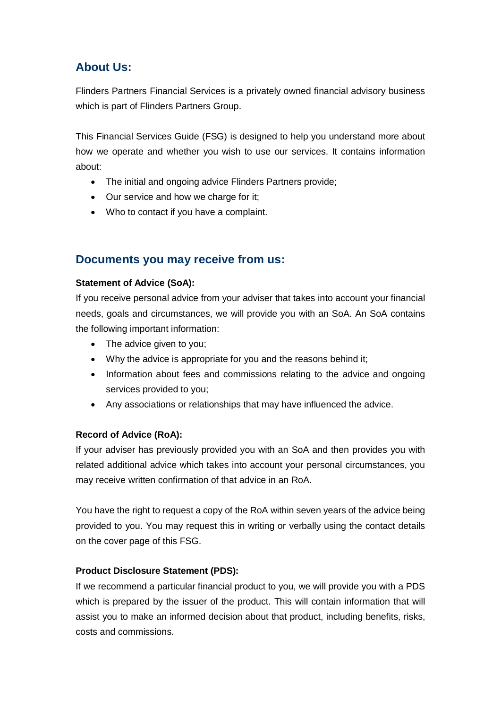# **About Us:**

Flinders Partners Financial Services is a privately owned financial advisory business which is part of Flinders Partners Group.

This Financial Services Guide (FSG) is designed to help you understand more about how we operate and whether you wish to use our services. It contains information about:

- · The initial and ongoing advice Flinders Partners provide;
- · Our service and how we charge for it;
- · Who to contact if you have a complaint.

# **Documents you may receive from us:**

# **Statement of Advice (SoA):**

If you receive personal advice from your adviser that takes into account your financial needs, goals and circumstances, we will provide you with an SoA. An SoA contains the following important information:

- The advice given to you;
- · Why the advice is appropriate for you and the reasons behind it;
- Information about fees and commissions relating to the advice and ongoing services provided to you;
- · Any associations or relationships that may have influenced the advice.

# **Record of Advice (RoA):**

If your adviser has previously provided you with an SoA and then provides you with related additional advice which takes into account your personal circumstances, you may receive written confirmation of that advice in an RoA.

You have the right to request a copy of the RoA within seven years of the advice being provided to you. You may request this in writing or verbally using the contact details on the cover page of this FSG.

# **Product Disclosure Statement (PDS):**

If we recommend a particular financial product to you, we will provide you with a PDS which is prepared by the issuer of the product. This will contain information that will assist you to make an informed decision about that product, including benefits, risks, costs and commissions.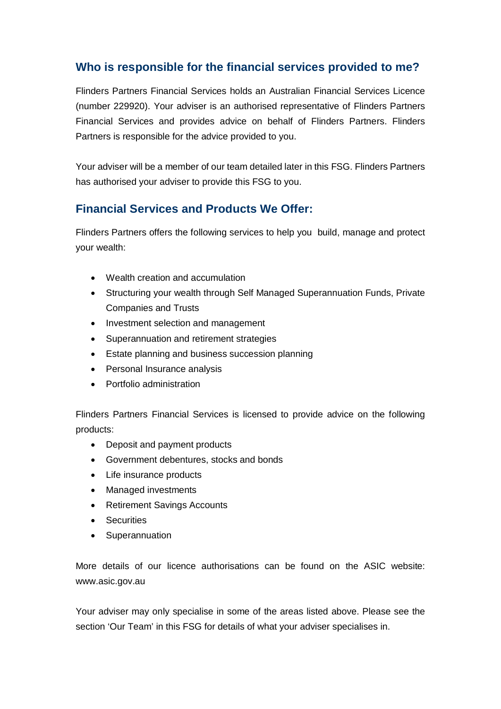# **Who is responsible for the financial services provided to me?**

Flinders Partners Financial Services holds an Australian Financial Services Licence (number 229920). Your adviser is an authorised representative of Flinders Partners Financial Services and provides advice on behalf of Flinders Partners. Flinders Partners is responsible for the advice provided to you.

Your adviser will be a member of our team detailed later in this FSG. Flinders Partners has authorised your adviser to provide this FSG to you.

# **Financial Services and Products We Offer:**

Flinders Partners offers the following services to help you build, manage and protect your wealth:

- · Wealth creation and accumulation
- · Structuring your wealth through Self Managed Superannuation Funds, Private Companies and Trusts
- · Investment selection and management
- · Superannuation and retirement strategies
- Estate planning and business succession planning
- Personal Insurance analysis
- · Portfolio administration

Flinders Partners Financial Services is licensed to provide advice on the following products:

- · Deposit and payment products
- · Government debentures, stocks and bonds
- · Life insurance products
- · Managed investments
- · Retirement Savings Accounts
- · Securities
- · Superannuation

More details of our licence authorisations can be found on the ASIC website: www.asic.gov.au

Your adviser may only specialise in some of the areas listed above. Please see the section 'Our Team' in this FSG for details of what your adviser specialises in.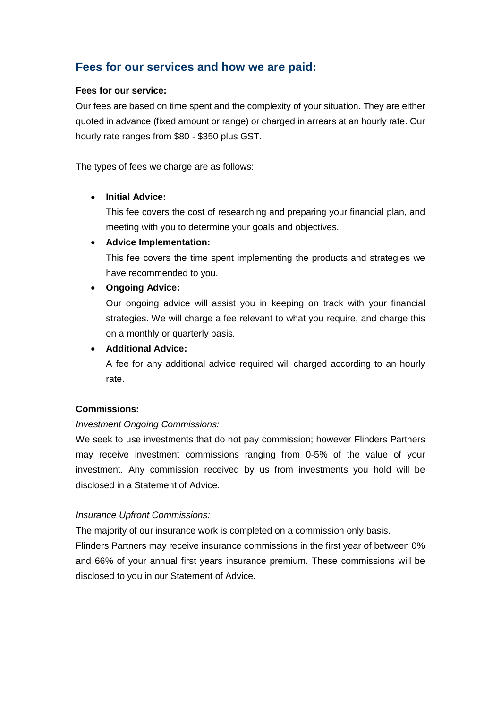# **Fees for our services and how we are paid:**

#### **Fees for our service:**

Our fees are based on time spent and the complexity of your situation. They are either quoted in advance (fixed amount or range) or charged in arrears at an hourly rate. Our hourly rate ranges from \$80 - \$350 plus GST.

The types of fees we charge are as follows:

# · **Initial Advice:**

This fee covers the cost of researching and preparing your financial plan, and meeting with you to determine your goals and objectives.

## · **Advice Implementation:**

This fee covers the time spent implementing the products and strategies we have recommended to you.

## · **Ongoing Advice:**

Our ongoing advice will assist you in keeping on track with your financial strategies. We will charge a fee relevant to what you require, and charge this on a monthly or quarterly basis.

## · **Additional Advice:**

A fee for any additional advice required will charged according to an hourly rate.

# **Commissions:**

# *Investment Ongoing Commissions:*

We seek to use investments that do not pay commission; however Flinders Partners may receive investment commissions ranging from 0-5% of the value of your investment. Any commission received by us from investments you hold will be disclosed in a Statement of Advice.

#### *Insurance Upfront Commissions:*

The majority of our insurance work is completed on a commission only basis.

Flinders Partners may receive insurance commissions in the first year of between 0% and 66% of your annual first years insurance premium. These commissions will be disclosed to you in our Statement of Advice.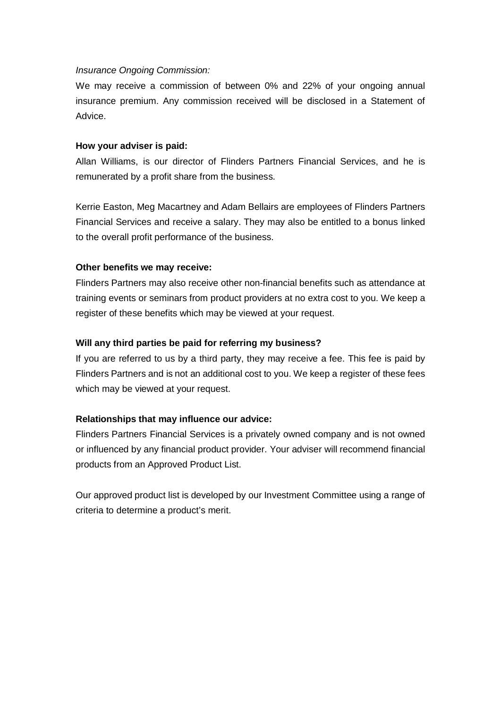#### *Insurance Ongoing Commission:*

We may receive a commission of between 0% and 22% of your ongoing annual insurance premium. Any commission received will be disclosed in a Statement of Advice.

#### **How your adviser is paid:**

Allan Williams, is our director of Flinders Partners Financial Services, and he is remunerated by a profit share from the business.

Kerrie Easton, Meg Macartney and Adam Bellairs are employees of Flinders Partners Financial Services and receive a salary. They may also be entitled to a bonus linked to the overall profit performance of the business.

#### **Other benefits we may receive:**

Flinders Partners may also receive other non-financial benefits such as attendance at training events or seminars from product providers at no extra cost to you. We keep a register of these benefits which may be viewed at your request.

#### **Will any third parties be paid for referring my business?**

If you are referred to us by a third party, they may receive a fee. This fee is paid by Flinders Partners and is not an additional cost to you. We keep a register of these fees which may be viewed at your request.

#### **Relationships that may influence our advice:**

Flinders Partners Financial Services is a privately owned company and is not owned or influenced by any financial product provider. Your adviser will recommend financial products from an Approved Product List.

Our approved product list is developed by our Investment Committee using a range of criteria to determine a product's merit.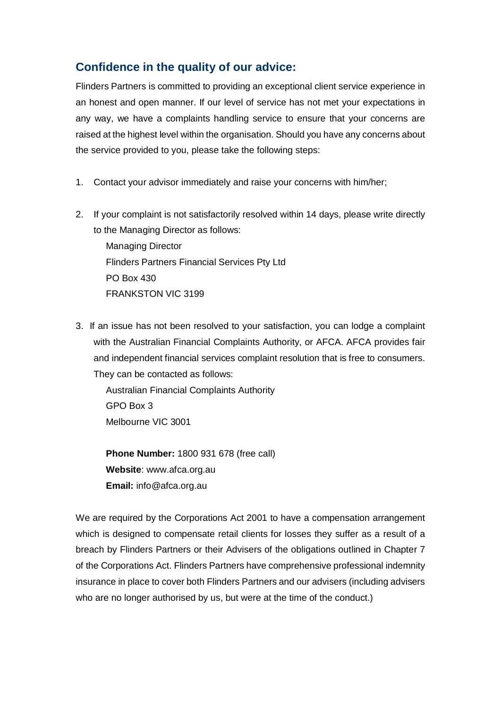# **Confidence in the quality of our advice:**

Flinders Partners is committed to providing an exceptional client service experience in an honest and open manner. If our level of service has not met your expectations in any way, we have a complaints handling service to ensure that your concerns are raised at the highest level within the organisation. Should you have any concerns about the service provided to you, please take the following steps:

- 1. Contact your advisor immediately and raise your concerns with him/her;
- 2. If your complaint is not satisfactorily resolved within 14 days, please write directly to the Managing Director as follows:

Managing Director Flinders Partners Financial Services Pty Ltd PO Box 430 FRANKSTON VIC 3199

3. If an issue has not been resolved to your satisfaction, you can lodge a complaint with the Australian Financial Complaints Authority, or AFCA. AFCA provides fair and independent financial services complaint resolution that is free to consumers. They can be contacted as follows:

 Australian Financial Complaints Authority GPO Box 3 Melbourne VIC 3001

**Phone Number:** 1800 931 678 (free call) **Website**: www.afca.org.au **Email:** info@afca.org.au

We are required by the Corporations Act 2001 to have a compensation arrangement which is designed to compensate retail clients for losses they suffer as a result of a breach by Flinders Partners or their Advisers of the obligations outlined in Chapter 7 of the Corporations Act. Flinders Partners have comprehensive professional indemnity insurance in place to cover both Flinders Partners and our advisers (including advisers who are no longer authorised by us, but were at the time of the conduct.)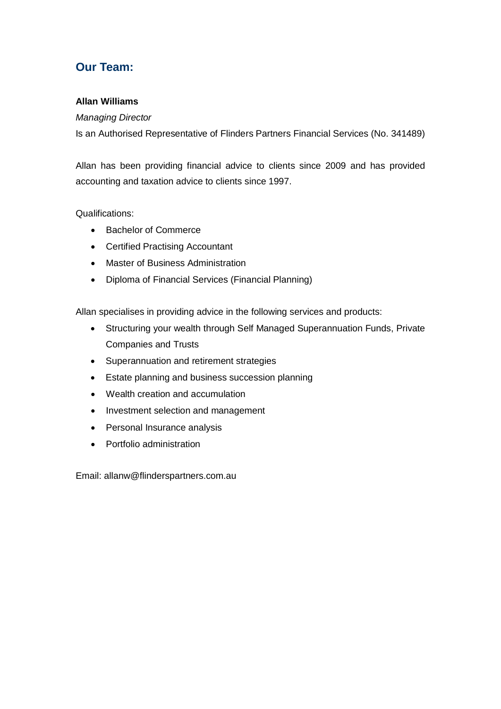# **Our Team:**

## **Allan Williams**

#### *Managing Director*

Is an Authorised Representative of Flinders Partners Financial Services (No. 341489)

Allan has been providing financial advice to clients since 2009 and has provided accounting and taxation advice to clients since 1997.

## Qualifications:

- · Bachelor of Commerce
- · Certified Practising Accountant
- · Master of Business Administration
- · Diploma of Financial Services (Financial Planning)

Allan specialises in providing advice in the following services and products:

- · Structuring your wealth through Self Managed Superannuation Funds, Private Companies and Trusts
- · Superannuation and retirement strategies
- · Estate planning and business succession planning
- · Wealth creation and accumulation
- · Investment selection and management
- · Personal Insurance analysis
- · Portfolio administration

Email: allanw@flinderspartners.com.au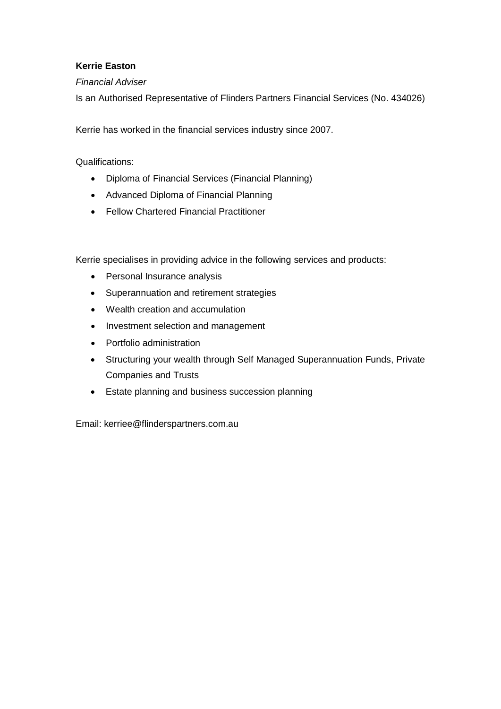# **Kerrie Easton**

## *Financial Adviser*

Is an Authorised Representative of Flinders Partners Financial Services (No. 434026)

Kerrie has worked in the financial services industry since 2007.

Qualifications:

- · Diploma of Financial Services (Financial Planning)
- · Advanced Diploma of Financial Planning
- · Fellow Chartered Financial Practitioner

Kerrie specialises in providing advice in the following services and products:

- · Personal Insurance analysis
- · Superannuation and retirement strategies
- · Wealth creation and accumulation
- · Investment selection and management
- · Portfolio administration
- · Structuring your wealth through Self Managed Superannuation Funds, Private Companies and Trusts
- · Estate planning and business succession planning

Email: kerriee@flinderspartners.com.au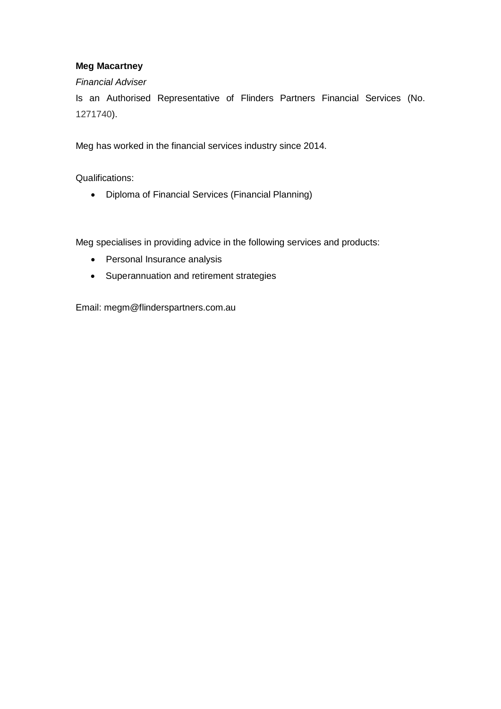# **Meg Macartney**

## *Financial Adviser*

Is an Authorised Representative of Flinders Partners Financial Services (No. 1271740).

Meg has worked in the financial services industry since 2014.

Qualifications:

· Diploma of Financial Services (Financial Planning)

Meg specialises in providing advice in the following services and products:

- · Personal Insurance analysis
- · Superannuation and retirement strategies

Email: megm@flinderspartners.com.au